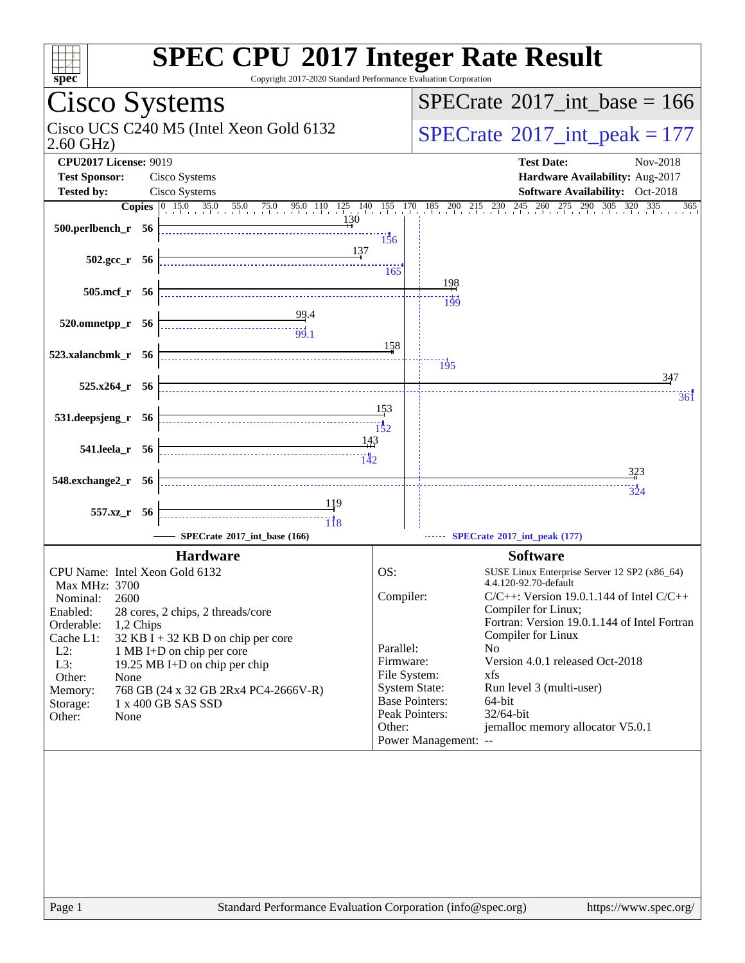| <b>SPEC CPU®2017 Integer Rate Result</b><br>spec <sup>®</sup>               | Copyright 2017-2020 Standard Performance Evaluation Corporation |                                                                                                              |
|-----------------------------------------------------------------------------|-----------------------------------------------------------------|--------------------------------------------------------------------------------------------------------------|
| Cisco Systems                                                               |                                                                 | $SPECrate^{\circ}2017\_int\_base = 166$                                                                      |
| Cisco UCS C240 M5 (Intel Xeon Gold 6132<br>$2.60$ GHz)                      |                                                                 | $SPECrate^{\circ}2017\_int\_peak = 177$                                                                      |
| <b>CPU2017 License: 9019</b><br><b>Test Sponsor:</b><br>Cisco Systems       |                                                                 | <b>Test Date:</b><br>Nov-2018<br>Hardware Availability: Aug-2017                                             |
| Cisco Systems<br><b>Tested by:</b>                                          |                                                                 | Software Availability: Oct-2018                                                                              |
|                                                                             |                                                                 | <b>Copies</b> 0 15.0 35.0 55.0 75.0 95.0 110 125 140 155 170 185 200 215 230 245 260 275 290 305 320 335 365 |
| $500.$ perlbench r 56                                                       | 130<br>156                                                      |                                                                                                              |
| $502.\text{gcc}_r$ 56                                                       | 137<br>165                                                      |                                                                                                              |
| 505.mcf_r 56                                                                | 198<br>- 199                                                    |                                                                                                              |
| $520.0$ mnetpp_r $56$                                                       | 158                                                             |                                                                                                              |
| 523.xalancbmk_r 56                                                          | $\overline{195}$                                                | 347                                                                                                          |
| $525.x264$ $r$ 56                                                           | 153                                                             | 361                                                                                                          |
| 531.deepsjeng_r 56                                                          |                                                                 |                                                                                                              |
| 541.leela_r 56                                                              | 143                                                             | 323                                                                                                          |
| 548.exchange2_r 56                                                          |                                                                 | 324                                                                                                          |
|                                                                             |                                                                 |                                                                                                              |
| 557.xz_r 56                                                                 | $\overline{118}$                                                |                                                                                                              |
| $SPECrate*2017$ _int_base (166)                                             |                                                                 | SPECrate*2017_int_peak (177)                                                                                 |
| <b>Hardware</b>                                                             |                                                                 | <b>Software</b>                                                                                              |
| CPU Name: Intel Xeon Gold 6132                                              | OS:                                                             | SUSE Linux Enterprise Server 12 SP2 (x86_64)                                                                 |
| Max MHz: 3700<br>Nominal:                                                   | Compiler:                                                       | 4.4.120-92.70-default<br>$C/C++$ : Version 19.0.1.144 of Intel $C/C++$                                       |
| 2600<br>Enabled:<br>28 cores, 2 chips, 2 threads/core                       |                                                                 | Compiler for Linux;                                                                                          |
| Orderable:<br>1,2 Chips                                                     |                                                                 | Fortran: Version 19.0.1.144 of Intel Fortran                                                                 |
| Cache L1:<br>$32$ KB I + 32 KB D on chip per core                           | Parallel:                                                       | Compiler for Linux<br>N <sub>o</sub>                                                                         |
| $L2$ :<br>1 MB I+D on chip per core<br>L3:<br>19.25 MB I+D on chip per chip | Firmware:                                                       | Version 4.0.1 released Oct-2018                                                                              |
| Other:<br>None                                                              | File System:                                                    | xfs                                                                                                          |
| 768 GB (24 x 32 GB 2Rx4 PC4-2666V-R)<br>Memory:                             | <b>System State:</b>                                            | Run level 3 (multi-user)                                                                                     |
| 1 x 400 GB SAS SSD<br>Storage:<br>Other:<br>None                            | <b>Base Pointers:</b><br>Peak Pointers:                         | 64-bit<br>32/64-bit                                                                                          |
|                                                                             | Other:<br>Power Management: --                                  | jemalloc memory allocator V5.0.1                                                                             |
|                                                                             |                                                                 |                                                                                                              |
|                                                                             |                                                                 |                                                                                                              |
|                                                                             |                                                                 |                                                                                                              |
|                                                                             |                                                                 |                                                                                                              |
|                                                                             |                                                                 |                                                                                                              |
|                                                                             |                                                                 |                                                                                                              |
|                                                                             |                                                                 |                                                                                                              |
| Page 1                                                                      | Standard Performance Evaluation Corporation (info@spec.org)     | https://www.spec.org/                                                                                        |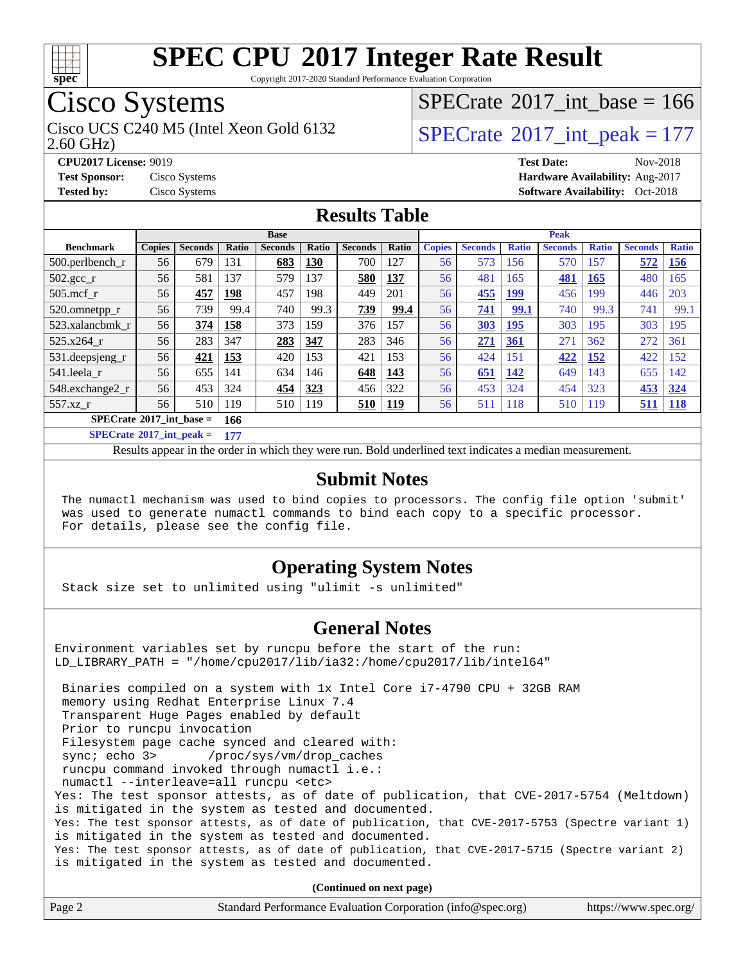

Copyright 2017-2020 Standard Performance Evaluation Corporation

# Cisco Systems

Cisco UCS C240 M5 (Intel Xeon Gold 6132  $\vert$  [SPECrate](http://www.spec.org/auto/cpu2017/Docs/result-fields.html#SPECrate2017intpeak)®[2017\\_int\\_peak = 1](http://www.spec.org/auto/cpu2017/Docs/result-fields.html#SPECrate2017intpeak)77

 $SPECTate$ <sup>®</sup>[2017\\_int\\_base =](http://www.spec.org/auto/cpu2017/Docs/result-fields.html#SPECrate2017intbase) 166

2.60 GHz)

**[CPU2017 License:](http://www.spec.org/auto/cpu2017/Docs/result-fields.html#CPU2017License)** 9019 **[Test Date:](http://www.spec.org/auto/cpu2017/Docs/result-fields.html#TestDate)** Nov-2018 **[Test Sponsor:](http://www.spec.org/auto/cpu2017/Docs/result-fields.html#TestSponsor)** Cisco Systems **[Hardware Availability:](http://www.spec.org/auto/cpu2017/Docs/result-fields.html#HardwareAvailability)** Aug-2017 **[Tested by:](http://www.spec.org/auto/cpu2017/Docs/result-fields.html#Testedby)** Cisco Systems **Cisco Systems [Software Availability:](http://www.spec.org/auto/cpu2017/Docs/result-fields.html#SoftwareAvailability)** Oct-2018

### **[Results Table](http://www.spec.org/auto/cpu2017/Docs/result-fields.html#ResultsTable)**

|                                          | <b>Base</b>   |                |              |                | <b>Peak</b>  |                |       |               |                |              |                |              |                |              |
|------------------------------------------|---------------|----------------|--------------|----------------|--------------|----------------|-------|---------------|----------------|--------------|----------------|--------------|----------------|--------------|
| <b>Benchmark</b>                         | <b>Copies</b> | <b>Seconds</b> | <b>Ratio</b> | <b>Seconds</b> | <b>Ratio</b> | <b>Seconds</b> | Ratio | <b>Copies</b> | <b>Seconds</b> | <b>Ratio</b> | <b>Seconds</b> | <b>Ratio</b> | <b>Seconds</b> | <b>Ratio</b> |
| $500$ .perlbench r                       | 56            | 679            | 131          | 683            | 130          | 700            | 127   | 56            | 573            | 156          | 570            | 157          | 572            | <b>156</b>   |
| $502.\text{gcc}_r$                       | 56            | 581            | 137          | 579            | 137          | 580            | 137   | 56            | 481            | 165          | 481            | 165          | 480            | 165          |
| $505$ .mcf r                             | 56            | 457            | 198          | 457            | 198          | 449            | 201   | 56            | 455            | <u>199</u>   | 456            | 199          | 446            | 203          |
| 520.omnetpp_r                            | 56            | 739            | 99.4         | 740            | 99.3         | 739            | 99.4  | 56            | 741            | 99.1         | 740            | 99.3         | 741            | 99.1         |
| 523.xalancbmk r                          | 56            | 374            | 158          | 373            | 159          | 376            | 157   | 56            | 303            | 195          | 303            | 195          | 303            | 195          |
| 525.x264 r                               | 56            | 283            | 347          | 283            | 347          | 283            | 346   | 56            | <u>271</u>     | <u>361</u>   | 271            | 362          | 272            | 361          |
| 531.deepsjeng_r                          | 56            | 421            | 153          | 420            | 153          | 421            | 153   | 56            | 424            | 151          | 422            | 152          | 422            | 152          |
| 541.leela r                              | 56            | 655            | 141          | 634            | 146          | 648            | 143   | 56            | 651            | 142          | 649            | 143          | 655            | 142          |
| 548.exchange2_r                          | 56            | 453            | 324          | 454            | 323          | 456            | 322   | 56            | 453            | 324          | 454            | 323          | 453            | 324          |
| 557.xz r                                 | 56            | 510            | 119          | 510            | 119          | 510            | 119   | 56            | 511            | 118          | 510            | 119          | 511            | <b>118</b>   |
| $SPECrate^{\circ}2017$ int base =<br>166 |               |                |              |                |              |                |       |               |                |              |                |              |                |              |

**[SPECrate](http://www.spec.org/auto/cpu2017/Docs/result-fields.html#SPECrate2017intpeak)[2017\\_int\\_peak =](http://www.spec.org/auto/cpu2017/Docs/result-fields.html#SPECrate2017intpeak) 177**

Results appear in the [order in which they were run.](http://www.spec.org/auto/cpu2017/Docs/result-fields.html#RunOrder) Bold underlined text [indicates a median measurement.](http://www.spec.org/auto/cpu2017/Docs/result-fields.html#Median)

#### **[Submit Notes](http://www.spec.org/auto/cpu2017/Docs/result-fields.html#SubmitNotes)**

 The numactl mechanism was used to bind copies to processors. The config file option 'submit' was used to generate numactl commands to bind each copy to a specific processor. For details, please see the config file.

### **[Operating System Notes](http://www.spec.org/auto/cpu2017/Docs/result-fields.html#OperatingSystemNotes)**

Stack size set to unlimited using "ulimit -s unlimited"

### **[General Notes](http://www.spec.org/auto/cpu2017/Docs/result-fields.html#GeneralNotes)**

Environment variables set by runcpu before the start of the run: LD\_LIBRARY\_PATH = "/home/cpu2017/lib/ia32:/home/cpu2017/lib/intel64" Binaries compiled on a system with 1x Intel Core i7-4790 CPU + 32GB RAM memory using Redhat Enterprise Linux 7.4 Transparent Huge Pages enabled by default Prior to runcpu invocation Filesystem page cache synced and cleared with: sync; echo 3> /proc/sys/vm/drop\_caches runcpu command invoked through numactl i.e.: numactl --interleave=all runcpu <etc> Yes: The test sponsor attests, as of date of publication, that CVE-2017-5754 (Meltdown) is mitigated in the system as tested and documented. Yes: The test sponsor attests, as of date of publication, that CVE-2017-5753 (Spectre variant 1) is mitigated in the system as tested and documented. Yes: The test sponsor attests, as of date of publication, that CVE-2017-5715 (Spectre variant 2) is mitigated in the system as tested and documented.

**(Continued on next page)**

| Page 2 | Standard Performance Evaluation Corporation (info@spec.org) | https://www.spec.org/ |
|--------|-------------------------------------------------------------|-----------------------|
|        |                                                             |                       |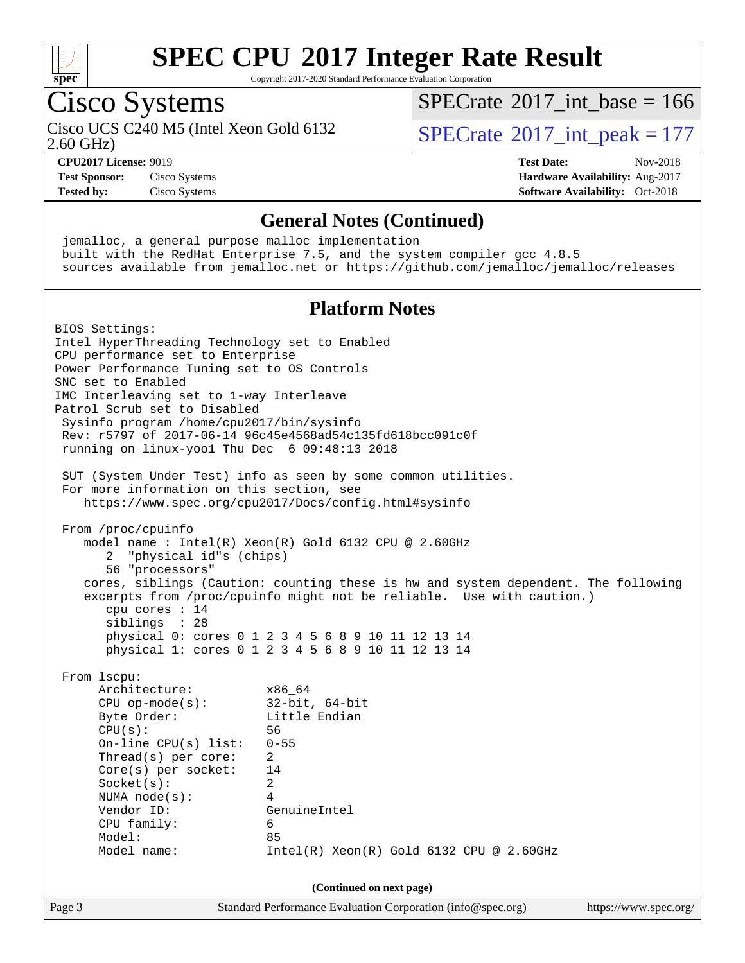

Copyright 2017-2020 Standard Performance Evaluation Corporation

## Cisco Systems

Cisco UCS C240 M5 (Intel Xeon Gold 6132  $\vert$  [SPECrate](http://www.spec.org/auto/cpu2017/Docs/result-fields.html#SPECrate2017intpeak)®[2017\\_int\\_peak = 1](http://www.spec.org/auto/cpu2017/Docs/result-fields.html#SPECrate2017intpeak)77

 $SPECTate$ <sup>®</sup>[2017\\_int\\_base =](http://www.spec.org/auto/cpu2017/Docs/result-fields.html#SPECrate2017intbase) 166

2.60 GHz)

**[Tested by:](http://www.spec.org/auto/cpu2017/Docs/result-fields.html#Testedby)** Cisco Systems **[Software Availability:](http://www.spec.org/auto/cpu2017/Docs/result-fields.html#SoftwareAvailability)** Oct-2018

### **[CPU2017 License:](http://www.spec.org/auto/cpu2017/Docs/result-fields.html#CPU2017License)** 9019 **[Test Date:](http://www.spec.org/auto/cpu2017/Docs/result-fields.html#TestDate)** Nov-2018 **[Test Sponsor:](http://www.spec.org/auto/cpu2017/Docs/result-fields.html#TestSponsor)** Cisco Systems **[Hardware Availability:](http://www.spec.org/auto/cpu2017/Docs/result-fields.html#HardwareAvailability)** Aug-2017

### **[General Notes \(Continued\)](http://www.spec.org/auto/cpu2017/Docs/result-fields.html#GeneralNotes)**

 jemalloc, a general purpose malloc implementation built with the RedHat Enterprise 7.5, and the system compiler gcc 4.8.5 sources available from jemalloc.net or <https://github.com/jemalloc/jemalloc/releases>

### **[Platform Notes](http://www.spec.org/auto/cpu2017/Docs/result-fields.html#PlatformNotes)**

Page 3 Standard Performance Evaluation Corporation [\(info@spec.org\)](mailto:info@spec.org) <https://www.spec.org/> BIOS Settings: Intel HyperThreading Technology set to Enabled CPU performance set to Enterprise Power Performance Tuning set to OS Controls SNC set to Enabled IMC Interleaving set to 1-way Interleave Patrol Scrub set to Disabled Sysinfo program /home/cpu2017/bin/sysinfo Rev: r5797 of 2017-06-14 96c45e4568ad54c135fd618bcc091c0f running on linux-yoo1 Thu Dec 6 09:48:13 2018 SUT (System Under Test) info as seen by some common utilities. For more information on this section, see <https://www.spec.org/cpu2017/Docs/config.html#sysinfo> From /proc/cpuinfo model name : Intel(R) Xeon(R) Gold 6132 CPU @ 2.60GHz 2 "physical id"s (chips) 56 "processors" cores, siblings (Caution: counting these is hw and system dependent. The following excerpts from /proc/cpuinfo might not be reliable. Use with caution.) cpu cores : 14 siblings : 28 physical 0: cores 0 1 2 3 4 5 6 8 9 10 11 12 13 14 physical 1: cores 0 1 2 3 4 5 6 8 9 10 11 12 13 14 From lscpu: Architecture: x86\_64 CPU op-mode(s): 32-bit, 64-bit Byte Order: Little Endian CPU(s): 56 On-line CPU(s) list: 0-55 Thread(s) per core: 2 Core(s) per socket: 14 Socket(s): 2 NUMA node(s): 4 Vendor ID: GenuineIntel CPU family: 6 Model: 85 Model name: Intel(R) Xeon(R) Gold 6132 CPU @ 2.60GHz **(Continued on next page)**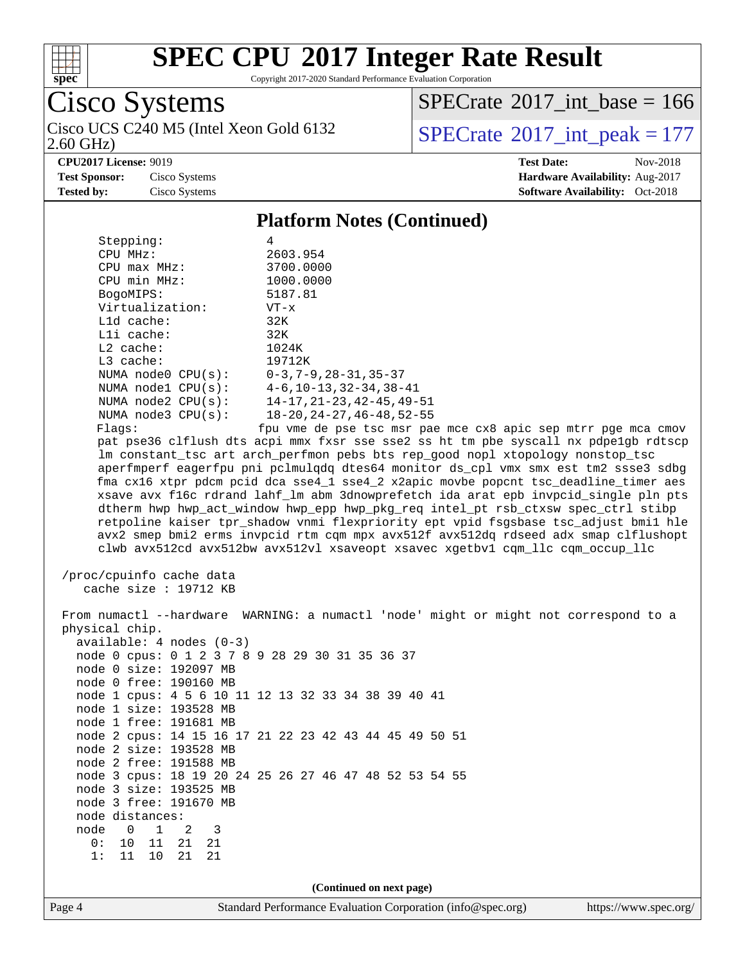

Copyright 2017-2020 Standard Performance Evaluation Corporation

Cisco Systems

2.60 GHz) Cisco UCS C240 M5 (Intel Xeon Gold 6132  $\vert$  [SPECrate](http://www.spec.org/auto/cpu2017/Docs/result-fields.html#SPECrate2017intpeak)®[2017\\_int\\_peak = 1](http://www.spec.org/auto/cpu2017/Docs/result-fields.html#SPECrate2017intpeak)77

 $SPECTate$ <sup>®</sup>[2017\\_int\\_base =](http://www.spec.org/auto/cpu2017/Docs/result-fields.html#SPECrate2017intbase) 166

**[CPU2017 License:](http://www.spec.org/auto/cpu2017/Docs/result-fields.html#CPU2017License)** 9019 **[Test Date:](http://www.spec.org/auto/cpu2017/Docs/result-fields.html#TestDate)** Nov-2018

**[Test Sponsor:](http://www.spec.org/auto/cpu2017/Docs/result-fields.html#TestSponsor)** Cisco Systems **[Hardware Availability:](http://www.spec.org/auto/cpu2017/Docs/result-fields.html#HardwareAvailability)** Aug-2017 **[Tested by:](http://www.spec.org/auto/cpu2017/Docs/result-fields.html#Testedby)** Cisco Systems **Cisco Systems [Software Availability:](http://www.spec.org/auto/cpu2017/Docs/result-fields.html#SoftwareAvailability)** Oct-2018

#### **[Platform Notes \(Continued\)](http://www.spec.org/auto/cpu2017/Docs/result-fields.html#PlatformNotes)**

| Stepping:         |                         | 4                                             |
|-------------------|-------------------------|-----------------------------------------------|
| CPU MHz:          |                         | 2603.954                                      |
| $CPU$ max $MHz$ : |                         | 3700.0000                                     |
| CPU min MHz:      |                         | 1000.0000                                     |
| BogoMIPS:         |                         | 5187.81                                       |
|                   | Virtualization:         | $VT - x$                                      |
| $L1d$ cache:      |                         | 32K                                           |
| $L1i$ cache:      |                         | 32K                                           |
| $L2$ cache:       |                         | 1024K                                         |
| $L3$ cache:       |                         | 19712K                                        |
|                   | NUMA $node0$ $CPU(s)$ : | $0 - 3$ , 7 – 9, 28 – 31, 35 – 37             |
|                   | NUMA $node1$ $CPU(s)$ : | $4-6, 10-13, 32-34, 38-41$                    |
|                   | NUMA node2 CPU(s):      | $14 - 17, 21 - 23, 42 - 45, 49 - 51$          |
|                   | NUMA $node3$ $CPU(s):$  | $18 - 20$ , $24 - 27$ , $46 - 48$ , $52 - 55$ |
| Flaqs:            |                         | fpu vme de pse tsc msr pa                     |

pae mce cx8 apic sep mtrr pge mca cmov pat pse36 clflush dts acpi mmx fxsr sse sse2 ss ht tm pbe syscall nx pdpe1gb rdtscp lm constant\_tsc art arch\_perfmon pebs bts rep\_good nopl xtopology nonstop\_tsc aperfmperf eagerfpu pni pclmulqdq dtes64 monitor ds\_cpl vmx smx est tm2 ssse3 sdbg fma cx16 xtpr pdcm pcid dca sse4\_1 sse4\_2 x2apic movbe popcnt tsc\_deadline\_timer aes xsave avx f16c rdrand lahf\_lm abm 3dnowprefetch ida arat epb invpcid\_single pln pts dtherm hwp hwp\_act\_window hwp\_epp hwp\_pkg\_req intel\_pt rsb\_ctxsw spec\_ctrl stibp retpoline kaiser tpr\_shadow vnmi flexpriority ept vpid fsgsbase tsc\_adjust bmi1 hle avx2 smep bmi2 erms invpcid rtm cqm mpx avx512f avx512dq rdseed adx smap clflushopt clwb avx512cd avx512bw avx512vl xsaveopt xsavec xgetbv1 cqm\_llc cqm\_occup\_llc

 /proc/cpuinfo cache data cache size : 19712 KB

 From numactl --hardware WARNING: a numactl 'node' might or might not correspond to a physical chip. available: 4 nodes (0-3) node 0 cpus: 0 1 2 3 7 8 9 28 29 30 31 35 36 37 node 0 size: 192097 MB node 0 free: 190160 MB node 1 cpus: 4 5 6 10 11 12 13 32 33 34 38 39 40 41 node 1 size: 193528 MB node 1 free: 191681 MB node 2 cpus: 14 15 16 17 21 22 23 42 43 44 45 49 50 51 node 2 size: 193528 MB node 2 free: 191588 MB node 3 cpus: 18 19 20 24 25 26 27 46 47 48 52 53 54 55 node 3 size: 193525 MB node 3 free: 191670 MB node distances: node 0 1 2 3 0: 10 11 21 21 1: 11 10 21 21 **(Continued on next page)**

Page 4 Standard Performance Evaluation Corporation [\(info@spec.org\)](mailto:info@spec.org) <https://www.spec.org/>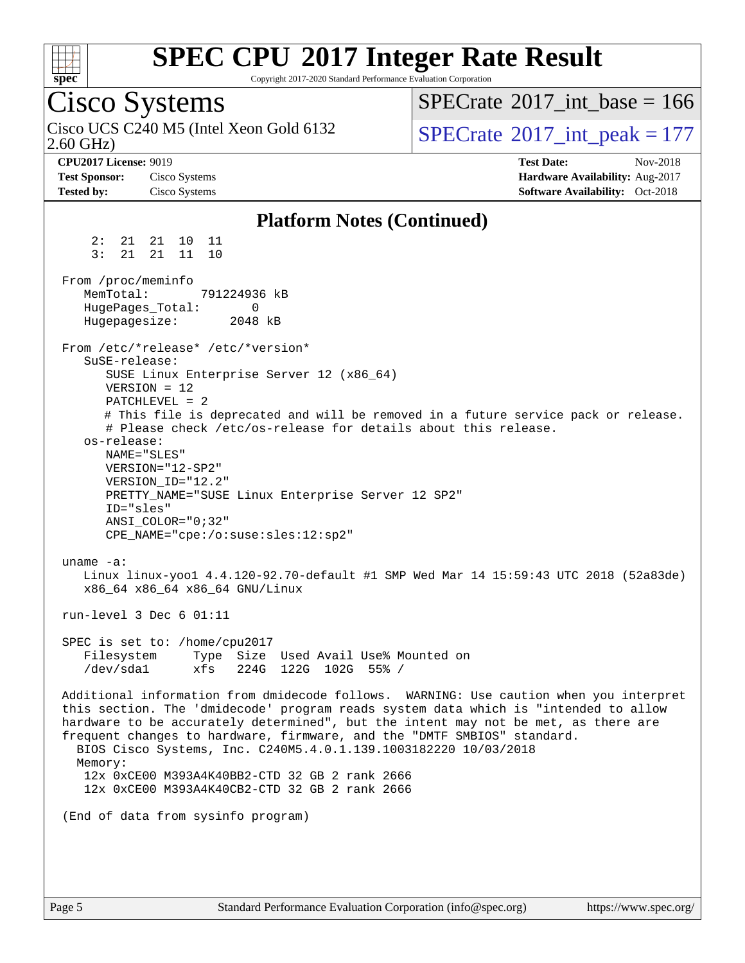

Copyright 2017-2020 Standard Performance Evaluation Corporation

# Cisco Systems

2.60 GHz) Cisco UCS C240 M5 (Intel Xeon Gold 6132  $\vert$  [SPECrate](http://www.spec.org/auto/cpu2017/Docs/result-fields.html#SPECrate2017intpeak)®[2017\\_int\\_peak = 1](http://www.spec.org/auto/cpu2017/Docs/result-fields.html#SPECrate2017intpeak)77

 $SPECTate$ <sup>®</sup>[2017\\_int\\_base =](http://www.spec.org/auto/cpu2017/Docs/result-fields.html#SPECrate2017intbase) 166

**[CPU2017 License:](http://www.spec.org/auto/cpu2017/Docs/result-fields.html#CPU2017License)** 9019 **[Test Date:](http://www.spec.org/auto/cpu2017/Docs/result-fields.html#TestDate)** Nov-2018 **[Test Sponsor:](http://www.spec.org/auto/cpu2017/Docs/result-fields.html#TestSponsor)** Cisco Systems **[Hardware Availability:](http://www.spec.org/auto/cpu2017/Docs/result-fields.html#HardwareAvailability)** Aug-2017 **[Tested by:](http://www.spec.org/auto/cpu2017/Docs/result-fields.html#Testedby)** Cisco Systems **Cisco Systems [Software Availability:](http://www.spec.org/auto/cpu2017/Docs/result-fields.html#SoftwareAvailability)** Oct-2018

#### **[Platform Notes \(Continued\)](http://www.spec.org/auto/cpu2017/Docs/result-fields.html#PlatformNotes)** 2: 21 21 10 11 3: 21 21 11 10 From /proc/meminfo MemTotal: 791224936 kB HugePages\_Total: 0 Hugepagesize: 2048 kB From /etc/\*release\* /etc/\*version\* SuSE-release: SUSE Linux Enterprise Server 12 (x86\_64) VERSION = 12 PATCHLEVEL = 2 # This file is deprecated and will be removed in a future service pack or release. # Please check /etc/os-release for details about this release. os-release: NAME="SLES" VERSION="12-SP2" VERSION\_ID="12.2" PRETTY\_NAME="SUSE Linux Enterprise Server 12 SP2" ID="sles" ANSI\_COLOR="0;32" CPE\_NAME="cpe:/o:suse:sles:12:sp2" uname -a: Linux linux-yoo1 4.4.120-92.70-default #1 SMP Wed Mar 14 15:59:43 UTC 2018 (52a83de) x86\_64 x86\_64 x86\_64 GNU/Linux run-level 3 Dec 6 01:11 SPEC is set to: /home/cpu2017 Filesystem Type Size Used Avail Use% Mounted on /dev/sda1 xfs 224G 122G 102G 55% / Additional information from dmidecode follows. WARNING: Use caution when you interpret this section. The 'dmidecode' program reads system data which is "intended to allow hardware to be accurately determined", but the intent may not be met, as there are frequent changes to hardware, firmware, and the "DMTF SMBIOS" standard. BIOS Cisco Systems, Inc. C240M5.4.0.1.139.1003182220 10/03/2018 Memory: 12x 0xCE00 M393A4K40BB2-CTD 32 GB 2 rank 2666 12x 0xCE00 M393A4K40CB2-CTD 32 GB 2 rank 2666 (End of data from sysinfo program)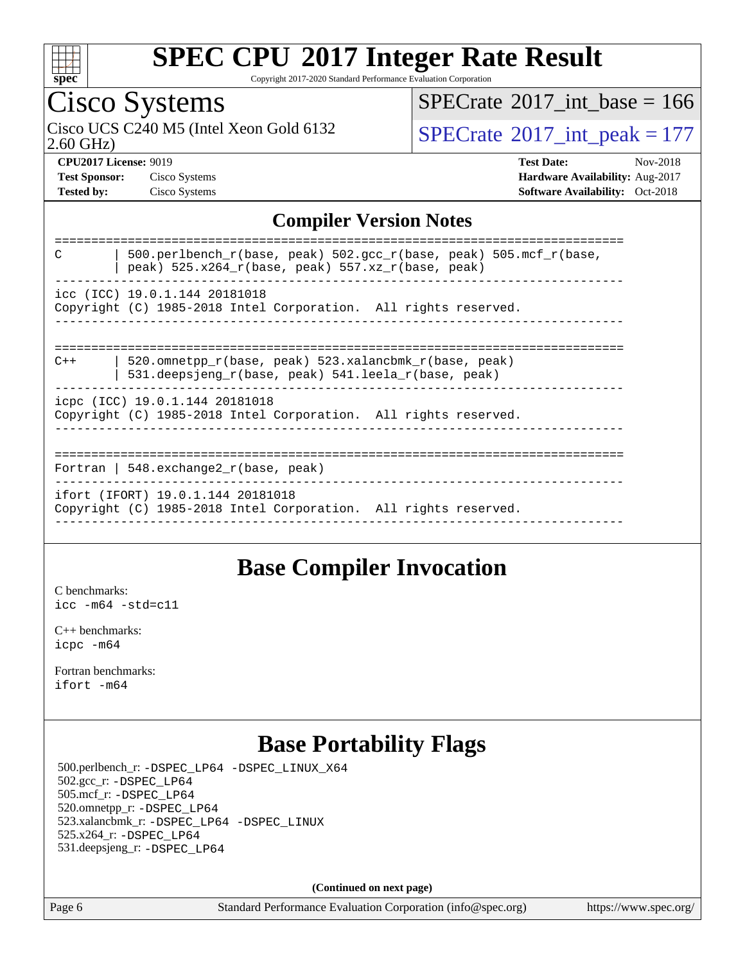

Copyright 2017-2020 Standard Performance Evaluation Corporation

# Cisco Systems

2.60 GHz) Cisco UCS C240 M5 (Intel Xeon Gold 6132  $\vert$  [SPECrate](http://www.spec.org/auto/cpu2017/Docs/result-fields.html#SPECrate2017intpeak)®[2017\\_int\\_peak = 1](http://www.spec.org/auto/cpu2017/Docs/result-fields.html#SPECrate2017intpeak)77

 $SPECTate$ <sup>®</sup>[2017\\_int\\_base =](http://www.spec.org/auto/cpu2017/Docs/result-fields.html#SPECrate2017intbase) 166

**[CPU2017 License:](http://www.spec.org/auto/cpu2017/Docs/result-fields.html#CPU2017License)** 9019 **[Test Date:](http://www.spec.org/auto/cpu2017/Docs/result-fields.html#TestDate)** Nov-2018 **[Test Sponsor:](http://www.spec.org/auto/cpu2017/Docs/result-fields.html#TestSponsor)** Cisco Systems **[Hardware Availability:](http://www.spec.org/auto/cpu2017/Docs/result-fields.html#HardwareAvailability)** Aug-2017 **[Tested by:](http://www.spec.org/auto/cpu2017/Docs/result-fields.html#Testedby)** Cisco Systems **[Software Availability:](http://www.spec.org/auto/cpu2017/Docs/result-fields.html#SoftwareAvailability)** Oct-2018

### **[Compiler Version Notes](http://www.spec.org/auto/cpu2017/Docs/result-fields.html#CompilerVersionNotes)**

| 500.perlbench_r(base, peak) 502.gcc_r(base, peak) 505.mcf_r(base,<br>C<br>peak) $525.x264_r(base, peak) 557.xz_r(base, peak)$ |
|-------------------------------------------------------------------------------------------------------------------------------|
| icc (ICC) 19.0.1.144 20181018<br>Copyright (C) 1985-2018 Intel Corporation. All rights reserved.                              |
| 520.omnetpp r(base, peak) 523.xalancbmk r(base, peak)<br>$C++$<br>531.deepsjeng_r(base, peak) 541.leela_r(base, peak)         |
| icpc (ICC) 19.0.1.144 20181018<br>Copyright (C) 1985-2018 Intel Corporation. All rights reserved.                             |
| Fortran   548.exchange2 $r(base, peak)$                                                                                       |
| ifort (IFORT) 19.0.1.144 20181018<br>Copyright (C) 1985-2018 Intel Corporation. All rights reserved.                          |
|                                                                                                                               |

### **[Base Compiler Invocation](http://www.spec.org/auto/cpu2017/Docs/result-fields.html#BaseCompilerInvocation)**

[C benchmarks](http://www.spec.org/auto/cpu2017/Docs/result-fields.html#Cbenchmarks): [icc -m64 -std=c11](http://www.spec.org/cpu2017/results/res2018q4/cpu2017-20181211-10257.flags.html#user_CCbase_intel_icc_64bit_c11_33ee0cdaae7deeeab2a9725423ba97205ce30f63b9926c2519791662299b76a0318f32ddfffdc46587804de3178b4f9328c46fa7c2b0cd779d7a61945c91cd35)

[C++ benchmarks:](http://www.spec.org/auto/cpu2017/Docs/result-fields.html#CXXbenchmarks) [icpc -m64](http://www.spec.org/cpu2017/results/res2018q4/cpu2017-20181211-10257.flags.html#user_CXXbase_intel_icpc_64bit_4ecb2543ae3f1412ef961e0650ca070fec7b7afdcd6ed48761b84423119d1bf6bdf5cad15b44d48e7256388bc77273b966e5eb805aefd121eb22e9299b2ec9d9)

[Fortran benchmarks](http://www.spec.org/auto/cpu2017/Docs/result-fields.html#Fortranbenchmarks): [ifort -m64](http://www.spec.org/cpu2017/results/res2018q4/cpu2017-20181211-10257.flags.html#user_FCbase_intel_ifort_64bit_24f2bb282fbaeffd6157abe4f878425411749daecae9a33200eee2bee2fe76f3b89351d69a8130dd5949958ce389cf37ff59a95e7a40d588e8d3a57e0c3fd751)

## **[Base Portability Flags](http://www.spec.org/auto/cpu2017/Docs/result-fields.html#BasePortabilityFlags)**

 500.perlbench\_r: [-DSPEC\\_LP64](http://www.spec.org/cpu2017/results/res2018q4/cpu2017-20181211-10257.flags.html#b500.perlbench_r_basePORTABILITY_DSPEC_LP64) [-DSPEC\\_LINUX\\_X64](http://www.spec.org/cpu2017/results/res2018q4/cpu2017-20181211-10257.flags.html#b500.perlbench_r_baseCPORTABILITY_DSPEC_LINUX_X64) 502.gcc\_r: [-DSPEC\\_LP64](http://www.spec.org/cpu2017/results/res2018q4/cpu2017-20181211-10257.flags.html#suite_basePORTABILITY502_gcc_r_DSPEC_LP64) 505.mcf\_r: [-DSPEC\\_LP64](http://www.spec.org/cpu2017/results/res2018q4/cpu2017-20181211-10257.flags.html#suite_basePORTABILITY505_mcf_r_DSPEC_LP64) 520.omnetpp\_r: [-DSPEC\\_LP64](http://www.spec.org/cpu2017/results/res2018q4/cpu2017-20181211-10257.flags.html#suite_basePORTABILITY520_omnetpp_r_DSPEC_LP64) 523.xalancbmk\_r: [-DSPEC\\_LP64](http://www.spec.org/cpu2017/results/res2018q4/cpu2017-20181211-10257.flags.html#suite_basePORTABILITY523_xalancbmk_r_DSPEC_LP64) [-DSPEC\\_LINUX](http://www.spec.org/cpu2017/results/res2018q4/cpu2017-20181211-10257.flags.html#b523.xalancbmk_r_baseCXXPORTABILITY_DSPEC_LINUX) 525.x264\_r: [-DSPEC\\_LP64](http://www.spec.org/cpu2017/results/res2018q4/cpu2017-20181211-10257.flags.html#suite_basePORTABILITY525_x264_r_DSPEC_LP64) 531.deepsjeng\_r: [-DSPEC\\_LP64](http://www.spec.org/cpu2017/results/res2018q4/cpu2017-20181211-10257.flags.html#suite_basePORTABILITY531_deepsjeng_r_DSPEC_LP64)

**(Continued on next page)**

Page 6 Standard Performance Evaluation Corporation [\(info@spec.org\)](mailto:info@spec.org) <https://www.spec.org/>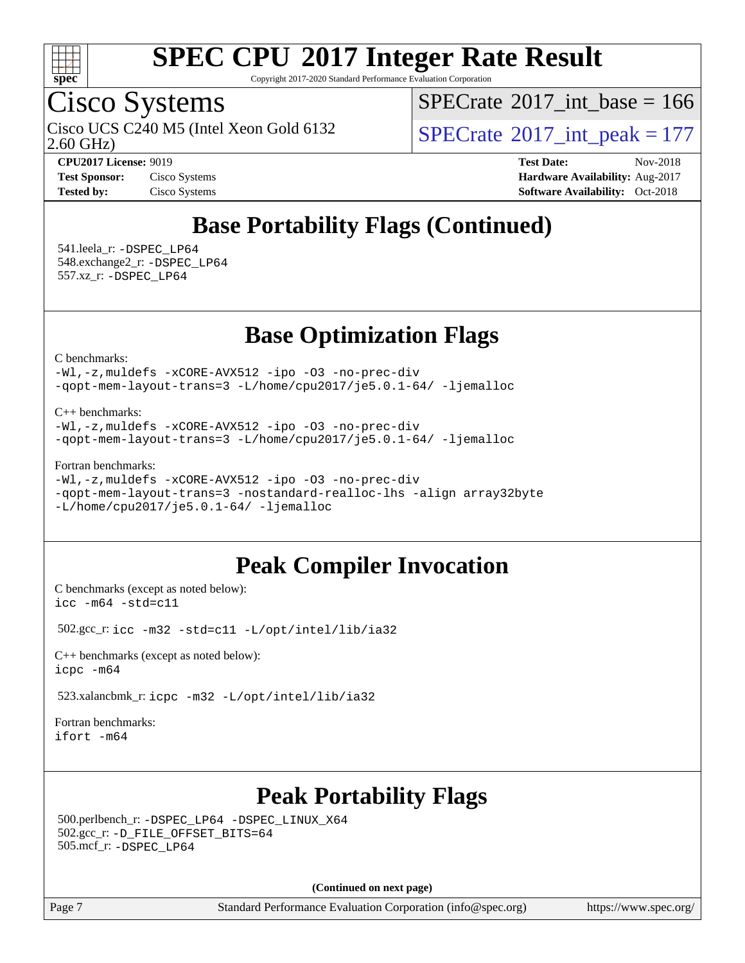

Copyright 2017-2020 Standard Performance Evaluation Corporation

## Cisco Systems

2.60 GHz) Cisco UCS C240 M5 (Intel Xeon Gold 6132  $\vert$  [SPECrate](http://www.spec.org/auto/cpu2017/Docs/result-fields.html#SPECrate2017intpeak)®[2017\\_int\\_peak = 1](http://www.spec.org/auto/cpu2017/Docs/result-fields.html#SPECrate2017intpeak)77

 $SPECTate$ <sup>®</sup>[2017\\_int\\_base =](http://www.spec.org/auto/cpu2017/Docs/result-fields.html#SPECrate2017intbase) 166

**[CPU2017 License:](http://www.spec.org/auto/cpu2017/Docs/result-fields.html#CPU2017License)** 9019 **[Test Date:](http://www.spec.org/auto/cpu2017/Docs/result-fields.html#TestDate)** Nov-2018 **[Test Sponsor:](http://www.spec.org/auto/cpu2017/Docs/result-fields.html#TestSponsor)** Cisco Systems **[Hardware Availability:](http://www.spec.org/auto/cpu2017/Docs/result-fields.html#HardwareAvailability)** Aug-2017 **[Tested by:](http://www.spec.org/auto/cpu2017/Docs/result-fields.html#Testedby)** Cisco Systems **[Software Availability:](http://www.spec.org/auto/cpu2017/Docs/result-fields.html#SoftwareAvailability)** Oct-2018

## **[Base Portability Flags \(Continued\)](http://www.spec.org/auto/cpu2017/Docs/result-fields.html#BasePortabilityFlags)**

 541.leela\_r: [-DSPEC\\_LP64](http://www.spec.org/cpu2017/results/res2018q4/cpu2017-20181211-10257.flags.html#suite_basePORTABILITY541_leela_r_DSPEC_LP64) 548.exchange2\_r: [-DSPEC\\_LP64](http://www.spec.org/cpu2017/results/res2018q4/cpu2017-20181211-10257.flags.html#suite_basePORTABILITY548_exchange2_r_DSPEC_LP64) 557.xz\_r: [-DSPEC\\_LP64](http://www.spec.org/cpu2017/results/res2018q4/cpu2017-20181211-10257.flags.html#suite_basePORTABILITY557_xz_r_DSPEC_LP64)

## **[Base Optimization Flags](http://www.spec.org/auto/cpu2017/Docs/result-fields.html#BaseOptimizationFlags)**

[C benchmarks](http://www.spec.org/auto/cpu2017/Docs/result-fields.html#Cbenchmarks):

[-Wl,-z,muldefs](http://www.spec.org/cpu2017/results/res2018q4/cpu2017-20181211-10257.flags.html#user_CCbase_link_force_multiple1_b4cbdb97b34bdee9ceefcfe54f4c8ea74255f0b02a4b23e853cdb0e18eb4525ac79b5a88067c842dd0ee6996c24547a27a4b99331201badda8798ef8a743f577) [-xCORE-AVX512](http://www.spec.org/cpu2017/results/res2018q4/cpu2017-20181211-10257.flags.html#user_CCbase_f-xCORE-AVX512) [-ipo](http://www.spec.org/cpu2017/results/res2018q4/cpu2017-20181211-10257.flags.html#user_CCbase_f-ipo) [-O3](http://www.spec.org/cpu2017/results/res2018q4/cpu2017-20181211-10257.flags.html#user_CCbase_f-O3) [-no-prec-div](http://www.spec.org/cpu2017/results/res2018q4/cpu2017-20181211-10257.flags.html#user_CCbase_f-no-prec-div) [-qopt-mem-layout-trans=3](http://www.spec.org/cpu2017/results/res2018q4/cpu2017-20181211-10257.flags.html#user_CCbase_f-qopt-mem-layout-trans_de80db37974c74b1f0e20d883f0b675c88c3b01e9d123adea9b28688d64333345fb62bc4a798493513fdb68f60282f9a726aa07f478b2f7113531aecce732043) [-L/home/cpu2017/je5.0.1-64/](http://www.spec.org/cpu2017/results/res2018q4/cpu2017-20181211-10257.flags.html#user_CCbase_jemalloc_link_path64_8e927a5f1bdac0405e66c637541874330e08086b5e62a1d024bcf3497e3c64fd173c8afb7d1730d51f6da781ef4c439bdab468bb8364cf71435e0c609fac500c) [-ljemalloc](http://www.spec.org/cpu2017/results/res2018q4/cpu2017-20181211-10257.flags.html#user_CCbase_jemalloc_link_lib_d1249b907c500fa1c0672f44f562e3d0f79738ae9e3c4a9c376d49f265a04b9c99b167ecedbf6711b3085be911c67ff61f150a17b3472be731631ba4d0471706)

[C++ benchmarks:](http://www.spec.org/auto/cpu2017/Docs/result-fields.html#CXXbenchmarks)

[-Wl,-z,muldefs](http://www.spec.org/cpu2017/results/res2018q4/cpu2017-20181211-10257.flags.html#user_CXXbase_link_force_multiple1_b4cbdb97b34bdee9ceefcfe54f4c8ea74255f0b02a4b23e853cdb0e18eb4525ac79b5a88067c842dd0ee6996c24547a27a4b99331201badda8798ef8a743f577) [-xCORE-AVX512](http://www.spec.org/cpu2017/results/res2018q4/cpu2017-20181211-10257.flags.html#user_CXXbase_f-xCORE-AVX512) [-ipo](http://www.spec.org/cpu2017/results/res2018q4/cpu2017-20181211-10257.flags.html#user_CXXbase_f-ipo) [-O3](http://www.spec.org/cpu2017/results/res2018q4/cpu2017-20181211-10257.flags.html#user_CXXbase_f-O3) [-no-prec-div](http://www.spec.org/cpu2017/results/res2018q4/cpu2017-20181211-10257.flags.html#user_CXXbase_f-no-prec-div) [-qopt-mem-layout-trans=3](http://www.spec.org/cpu2017/results/res2018q4/cpu2017-20181211-10257.flags.html#user_CXXbase_f-qopt-mem-layout-trans_de80db37974c74b1f0e20d883f0b675c88c3b01e9d123adea9b28688d64333345fb62bc4a798493513fdb68f60282f9a726aa07f478b2f7113531aecce732043) [-L/home/cpu2017/je5.0.1-64/](http://www.spec.org/cpu2017/results/res2018q4/cpu2017-20181211-10257.flags.html#user_CXXbase_jemalloc_link_path64_8e927a5f1bdac0405e66c637541874330e08086b5e62a1d024bcf3497e3c64fd173c8afb7d1730d51f6da781ef4c439bdab468bb8364cf71435e0c609fac500c) [-ljemalloc](http://www.spec.org/cpu2017/results/res2018q4/cpu2017-20181211-10257.flags.html#user_CXXbase_jemalloc_link_lib_d1249b907c500fa1c0672f44f562e3d0f79738ae9e3c4a9c376d49f265a04b9c99b167ecedbf6711b3085be911c67ff61f150a17b3472be731631ba4d0471706)

#### [Fortran benchmarks](http://www.spec.org/auto/cpu2017/Docs/result-fields.html#Fortranbenchmarks):

```
-Wl,-z,muldefs -xCORE-AVX512 -ipo -O3 -no-prec-div
-qopt-mem-layout-trans=3 -nostandard-realloc-lhs -align array32byte
-L/home/cpu2017/je5.0.1-64/ -ljemalloc
```
## **[Peak Compiler Invocation](http://www.spec.org/auto/cpu2017/Docs/result-fields.html#PeakCompilerInvocation)**

[C benchmarks \(except as noted below\)](http://www.spec.org/auto/cpu2017/Docs/result-fields.html#Cbenchmarksexceptasnotedbelow): [icc -m64 -std=c11](http://www.spec.org/cpu2017/results/res2018q4/cpu2017-20181211-10257.flags.html#user_CCpeak_intel_icc_64bit_c11_33ee0cdaae7deeeab2a9725423ba97205ce30f63b9926c2519791662299b76a0318f32ddfffdc46587804de3178b4f9328c46fa7c2b0cd779d7a61945c91cd35)

502.gcc\_r: [icc -m32 -std=c11 -L/opt/intel/lib/ia32](http://www.spec.org/cpu2017/results/res2018q4/cpu2017-20181211-10257.flags.html#user_peakCCLD502_gcc_r_intel_icc_ba8be3d1ddcd8fa690d221d86b97d5980848a6fc7befb72d2aae7f265697ba3b80fdc9e77889232674508f6cf7fae229a8f479c4e0ca8921041dee8e2ca22d98)

[C++ benchmarks \(except as noted below\):](http://www.spec.org/auto/cpu2017/Docs/result-fields.html#CXXbenchmarksexceptasnotedbelow) [icpc -m64](http://www.spec.org/cpu2017/results/res2018q4/cpu2017-20181211-10257.flags.html#user_CXXpeak_intel_icpc_64bit_4ecb2543ae3f1412ef961e0650ca070fec7b7afdcd6ed48761b84423119d1bf6bdf5cad15b44d48e7256388bc77273b966e5eb805aefd121eb22e9299b2ec9d9)

523.xalancbmk\_r: [icpc -m32 -L/opt/intel/lib/ia32](http://www.spec.org/cpu2017/results/res2018q4/cpu2017-20181211-10257.flags.html#user_peakCXXLD523_xalancbmk_r_intel_icpc_44eae83c1f565e7e266431f067370024ba26559400a3332485578bf716e23841c734f948145e944e2f4b6f3ce32c2c966ea92b66ca79c6f94f301242c0f554cf)

[Fortran benchmarks](http://www.spec.org/auto/cpu2017/Docs/result-fields.html#Fortranbenchmarks): [ifort -m64](http://www.spec.org/cpu2017/results/res2018q4/cpu2017-20181211-10257.flags.html#user_FCpeak_intel_ifort_64bit_24f2bb282fbaeffd6157abe4f878425411749daecae9a33200eee2bee2fe76f3b89351d69a8130dd5949958ce389cf37ff59a95e7a40d588e8d3a57e0c3fd751)

## **[Peak Portability Flags](http://www.spec.org/auto/cpu2017/Docs/result-fields.html#PeakPortabilityFlags)**

 500.perlbench\_r: [-DSPEC\\_LP64](http://www.spec.org/cpu2017/results/res2018q4/cpu2017-20181211-10257.flags.html#b500.perlbench_r_peakPORTABILITY_DSPEC_LP64) [-DSPEC\\_LINUX\\_X64](http://www.spec.org/cpu2017/results/res2018q4/cpu2017-20181211-10257.flags.html#b500.perlbench_r_peakCPORTABILITY_DSPEC_LINUX_X64) 502.gcc\_r: [-D\\_FILE\\_OFFSET\\_BITS=64](http://www.spec.org/cpu2017/results/res2018q4/cpu2017-20181211-10257.flags.html#user_peakPORTABILITY502_gcc_r_file_offset_bits_64_5ae949a99b284ddf4e95728d47cb0843d81b2eb0e18bdfe74bbf0f61d0b064f4bda2f10ea5eb90e1dcab0e84dbc592acfc5018bc955c18609f94ddb8d550002c) 505.mcf\_r: [-DSPEC\\_LP64](http://www.spec.org/cpu2017/results/res2018q4/cpu2017-20181211-10257.flags.html#suite_peakPORTABILITY505_mcf_r_DSPEC_LP64)

**(Continued on next page)**

Page 7 Standard Performance Evaluation Corporation [\(info@spec.org\)](mailto:info@spec.org) <https://www.spec.org/>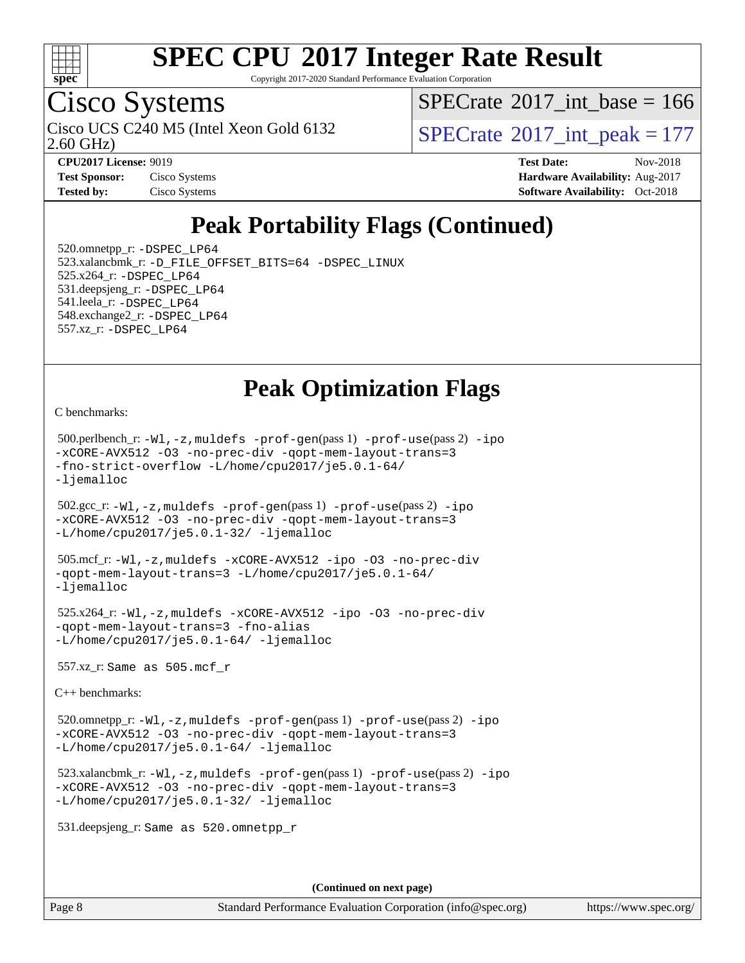

Copyright 2017-2020 Standard Performance Evaluation Corporation

## Cisco Systems

2.60 GHz) Cisco UCS C240 M5 (Intel Xeon Gold 6132  $\vert$  [SPECrate](http://www.spec.org/auto/cpu2017/Docs/result-fields.html#SPECrate2017intpeak)®[2017\\_int\\_peak = 1](http://www.spec.org/auto/cpu2017/Docs/result-fields.html#SPECrate2017intpeak)77

 $SPECTate$ <sup>®</sup>[2017\\_int\\_base =](http://www.spec.org/auto/cpu2017/Docs/result-fields.html#SPECrate2017intbase) 166

**[Tested by:](http://www.spec.org/auto/cpu2017/Docs/result-fields.html#Testedby)** Cisco Systems **[Software Availability:](http://www.spec.org/auto/cpu2017/Docs/result-fields.html#SoftwareAvailability)** Oct-2018

**[CPU2017 License:](http://www.spec.org/auto/cpu2017/Docs/result-fields.html#CPU2017License)** 9019 **[Test Date:](http://www.spec.org/auto/cpu2017/Docs/result-fields.html#TestDate)** Nov-2018 **[Test Sponsor:](http://www.spec.org/auto/cpu2017/Docs/result-fields.html#TestSponsor)** Cisco Systems **Cisco Systems [Hardware Availability:](http://www.spec.org/auto/cpu2017/Docs/result-fields.html#HardwareAvailability)** Aug-2017

## **[Peak Portability Flags \(Continued\)](http://www.spec.org/auto/cpu2017/Docs/result-fields.html#PeakPortabilityFlags)**

 520.omnetpp\_r: [-DSPEC\\_LP64](http://www.spec.org/cpu2017/results/res2018q4/cpu2017-20181211-10257.flags.html#suite_peakPORTABILITY520_omnetpp_r_DSPEC_LP64) 523.xalancbmk\_r: [-D\\_FILE\\_OFFSET\\_BITS=64](http://www.spec.org/cpu2017/results/res2018q4/cpu2017-20181211-10257.flags.html#user_peakPORTABILITY523_xalancbmk_r_file_offset_bits_64_5ae949a99b284ddf4e95728d47cb0843d81b2eb0e18bdfe74bbf0f61d0b064f4bda2f10ea5eb90e1dcab0e84dbc592acfc5018bc955c18609f94ddb8d550002c) [-DSPEC\\_LINUX](http://www.spec.org/cpu2017/results/res2018q4/cpu2017-20181211-10257.flags.html#b523.xalancbmk_r_peakCXXPORTABILITY_DSPEC_LINUX) 525.x264\_r: [-DSPEC\\_LP64](http://www.spec.org/cpu2017/results/res2018q4/cpu2017-20181211-10257.flags.html#suite_peakPORTABILITY525_x264_r_DSPEC_LP64) 531.deepsjeng\_r: [-DSPEC\\_LP64](http://www.spec.org/cpu2017/results/res2018q4/cpu2017-20181211-10257.flags.html#suite_peakPORTABILITY531_deepsjeng_r_DSPEC_LP64) 541.leela\_r: [-DSPEC\\_LP64](http://www.spec.org/cpu2017/results/res2018q4/cpu2017-20181211-10257.flags.html#suite_peakPORTABILITY541_leela_r_DSPEC_LP64) 548.exchange2\_r: [-DSPEC\\_LP64](http://www.spec.org/cpu2017/results/res2018q4/cpu2017-20181211-10257.flags.html#suite_peakPORTABILITY548_exchange2_r_DSPEC_LP64) 557.xz\_r: [-DSPEC\\_LP64](http://www.spec.org/cpu2017/results/res2018q4/cpu2017-20181211-10257.flags.html#suite_peakPORTABILITY557_xz_r_DSPEC_LP64)

## **[Peak Optimization Flags](http://www.spec.org/auto/cpu2017/Docs/result-fields.html#PeakOptimizationFlags)**

[C benchmarks](http://www.spec.org/auto/cpu2017/Docs/result-fields.html#Cbenchmarks):

```
 500.perlbench_r: -Wl,-z,muldefs -prof-gen(pass 1) -prof-use(pass 2) -ipo
-xCORE-AVX512 -O3 -no-prec-div -qopt-mem-layout-trans=3
-fno-strict-overflow -L/home/cpu2017/je5.0.1-64/
-ljemalloc
 502.gcc_r: -Wl,-z,muldefs -prof-gen(pass 1) -prof-use(pass 2) -ipo
-xCORE-AVX512 -O3 -no-prec-div -qopt-mem-layout-trans=3
-L/home/cpu2017/je5.0.1-32/ -ljemalloc
 505.mcf_r: -Wl,-z,muldefs -xCORE-AVX512 -ipo -O3 -no-prec-div
-qopt-mem-layout-trans=3 -L/home/cpu2017/je5.0.1-64/
-ljemalloc
 525.x264_r: -Wl,-z,muldefs -xCORE-AVX512 -ipo -O3 -no-prec-div
-qopt-mem-layout-trans=3 -fno-alias
-L/home/cpu2017/je5.0.1-64/ -ljemalloc
 557.xz_r: Same as 505.mcf_r
C++ benchmarks: 
 520.omnetpp_r: -Wl,-z,muldefs -prof-gen(pass 1) -prof-use(pass 2) -ipo
-xCORE-AVX512 -O3 -no-prec-div -qopt-mem-layout-trans=3
-L/home/cpu2017/je5.0.1-64/ -ljemalloc
 523.xalancbmk_r: -Wl,-z,muldefs -prof-gen(pass 1) -prof-use(pass 2) -ipo
-xCORE-AVX512 -O3 -no-prec-div -qopt-mem-layout-trans=3
-L/home/cpu2017/je5.0.1-32/ -ljemalloc
 531.deepsjeng_r: Same as 520.omnetpp_r
```
**(Continued on next page)**